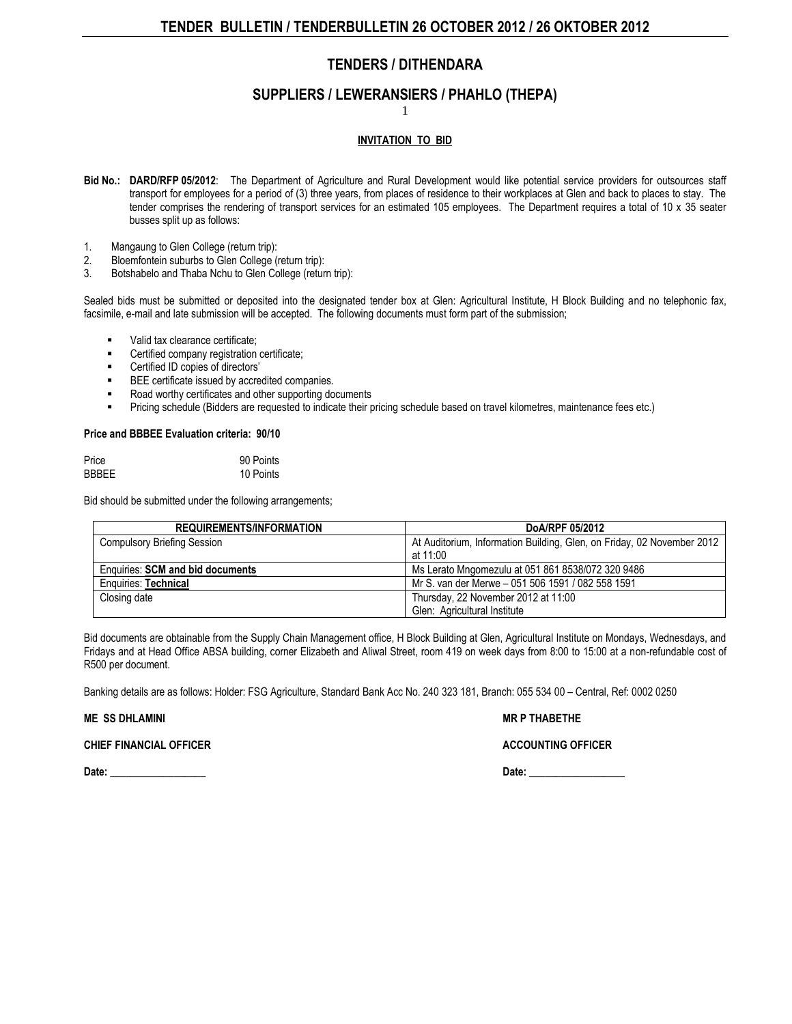## **SUPPLIERS / LEWERANSIERS / PHAHLO (THEPA)**

1

### **INVITATION TO BID**

- **Bid No.: DARD/RFP 05/2012**: The [Department of Agriculture](http://www.greengazette.co.za/departments/agriculture) and Rural Development would like potential service providers for outsources staff transport for employees for a period of (3) three years, from places of residence to their workplaces at Glen and back to places to stay. The tender comprises the rendering of transport services for an estimated 105 employees. The Department requires a total of 10 x 35 seater busses split up as follows:
- 1. Mangaung to Glen College (return trip):
- 2. Bloemfontein suburbs to Glen College (return trip):
- Botshabelo and Thaba Nchu to Glen College (return trip):

Sealed bids must be submitted or deposited into the designated tender box at Glen: Agricultural Institute, H Block Building and no telephonic fax, facsimile, e-mail and late submission will be accepted. The following documents must form part of the submission;

- valid tax clearance certificate;
- Certified company registration certificate;
- Certified ID copies of directors'
- BEE certificate issued by accredited companies.
- Road worthy certificates and other supporting documents
- Pricing schedule (Bidders are requested to indicate their pricing schedule based on travel kilometres, maintenance fees etc.)

#### **Price and BBBEE Evaluation criteria: 90/10**

| Price        | 90 Points |
|--------------|-----------|
| <b>BBBEE</b> | 10 Points |

Bid should be submitted under the following arrangements;

| <b>REQUIREMENTS/INFORMATION</b>         | DoA/RPF 05/2012                                                                    |
|-----------------------------------------|------------------------------------------------------------------------------------|
| <b>Compulsory Briefing Session</b>      | At Auditorium, Information Building, Glen, on Friday, 02 November 2012<br>at 11:00 |
| <b>Enquiries: SCM and bid documents</b> | Ms Lerato Mngomezulu at 051 861 8538/072 320 9486                                  |
| Enquiries: Technical                    | Mr S. van der Merwe - 051 506 1591 / 082 558 1591                                  |
| Closing date                            | Thursday, 22 November 2012 at 11:00<br>Glen: Agricultural Institute                |

Bid documents are obtainable from the Supply Chain Management office, H Block Building at Glen, Agricultural Institute on Mondays, Wednesdays, and Fridays and at Head Office ABSA building, corner Elizabeth and Aliwal Street, room 419 on week days from 8:00 to 15:00 at a non-refundable cost of R500 per document.

Banking details are as follows: Holder: FSG Agriculture, Standard Bank Acc No. 240 323 181, Branch: 055 534 00 – Central, Ref: 0002 0250

**ME SS DHLAMINI MR P THABETHE** 

#### **CHIEF FINANCIAL OFFICER** ACCOUNTING OFFICER

**Date: \_\_\_\_\_\_\_\_\_\_\_\_\_\_\_\_\_\_ Date: \_\_\_\_\_\_\_\_\_\_\_\_\_\_\_\_\_\_**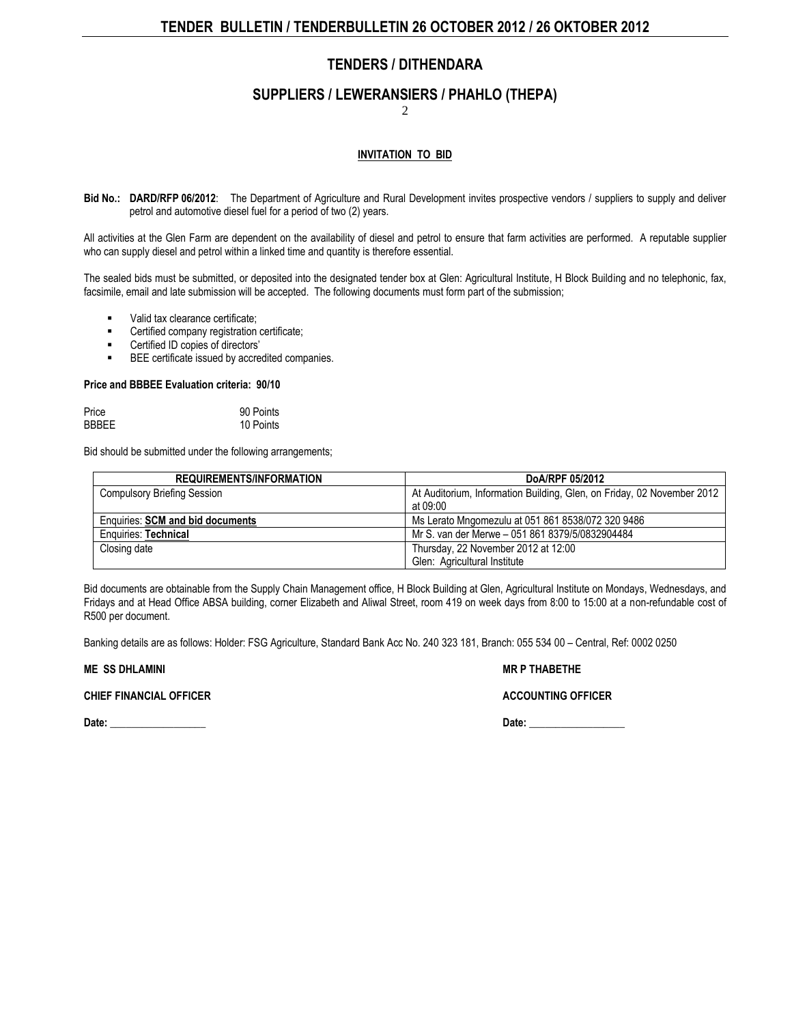## **SUPPLIERS / LEWERANSIERS / PHAHLO (THEPA)**

2

## **INVITATION TO BID**

**Bid No.: DARD/RFP 06/2012**: The [Department of Agriculture](http://www.greengazette.co.za/departments/agriculture) and Rural Development invites prospective vendors / suppliers to supply and deliver petrol and automotive diesel fuel for a period of two (2) years.

All activities at the Glen Farm are dependent on the availability of diesel and petrol to ensure that farm activities are performed. A reputable supplier who can supply diesel and petrol within a linked time and quantity is therefore essential.

The sealed bids must be submitted, or deposited into the designated tender box at Glen: Agricultural Institute, H Block Building and no telephonic, fax, facsimile, email and late submission will be accepted. The following documents must form part of the submission;

- Valid tax clearance certificate;
- Certified company registration certificate;
- Certified ID copies of directors'
- BEE certificate issued by accredited companies.

#### **Price and BBBEE Evaluation criteria: 90/10**

| Price | 90 Points |  |
|-------|-----------|--|
| BBBEE | 10 Points |  |

Bid should be submitted under the following arrangements;

| <b>REQUIREMENTS/INFORMATION</b>         | DoA/RPF 05/2012                                                        |
|-----------------------------------------|------------------------------------------------------------------------|
| <b>Compulsory Briefing Session</b>      | At Auditorium, Information Building, Glen, on Friday, 02 November 2012 |
|                                         | at 09:00                                                               |
| <b>Enquiries: SCM and bid documents</b> | Ms Lerato Mngomezulu at 051 861 8538/072 320 9486                      |
| Enquiries: Technical                    | Mr S. van der Merwe - 051 861 8379/5/0832904484                        |
| Closing date                            | Thursday, 22 November 2012 at 12:00                                    |
|                                         | Glen: Agricultural Institute                                           |

Bid documents are obtainable from the Supply Chain Management office, H Block Building at Glen, Agricultural Institute on Mondays, Wednesdays, and Fridays and at Head Office ABSA building, corner Elizabeth and Aliwal Street, room 419 on week days from 8:00 to 15:00 at a non-refundable cost of R500 per document.

Banking details are as follows: Holder: FSG Agriculture, Standard Bank Acc No. 240 323 181, Branch: 055 534 00 – Central, Ref: 0002 0250

**ME SS DHLAMINI** MALL SOME SERVER AND THABETHE **MR P THABETHE** 

### **CHIEF FINANCIAL OFFICER ACCOUNTING OFFICER ACCOUNTING OFFICER**

**Date: \_\_\_\_\_\_\_\_\_\_\_\_\_\_\_\_\_\_ Date: \_\_\_\_\_\_\_\_\_\_\_\_\_\_\_\_\_\_**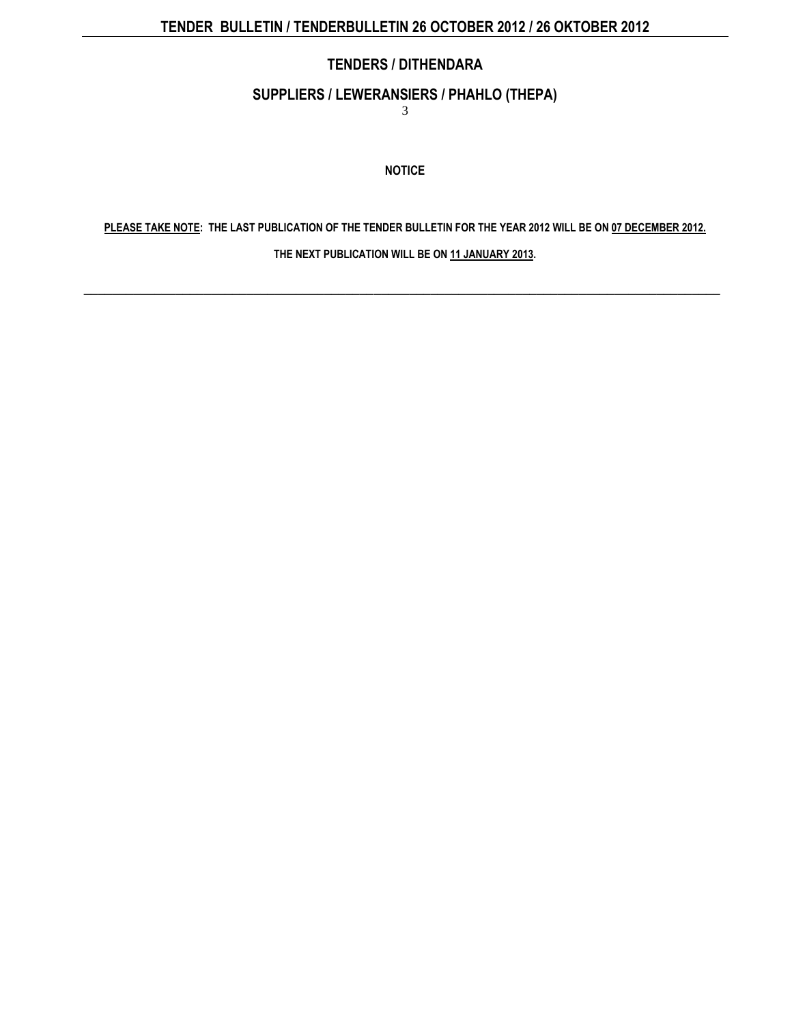## **SUPPLIERS / LEWERANSIERS / PHAHLO (THEPA)**

3

**NOTICE**

**PLEASE TAKE NOTE: THE LAST PUBLICATION OF THE [TENDER BULLETIN](http://www.greengazette.co.za/publications/tender-bulletins) FOR THE YEAR 2012 WILL BE ON 07 DECEMBER 2012.** 

**THE NEXT PUBLICATION WILL BE ON 11 JANUARY 2013.** 

\_\_\_\_\_\_\_\_\_\_\_\_\_\_\_\_\_\_\_\_\_\_\_\_\_\_\_\_\_\_\_\_\_\_\_\_\_\_\_\_\_\_\_\_\_\_\_\_\_\_\_\_\_\_\_\_\_\_\_\_\_\_\_\_\_\_\_\_\_\_\_\_\_\_\_\_\_\_\_\_\_\_\_\_\_\_\_\_\_\_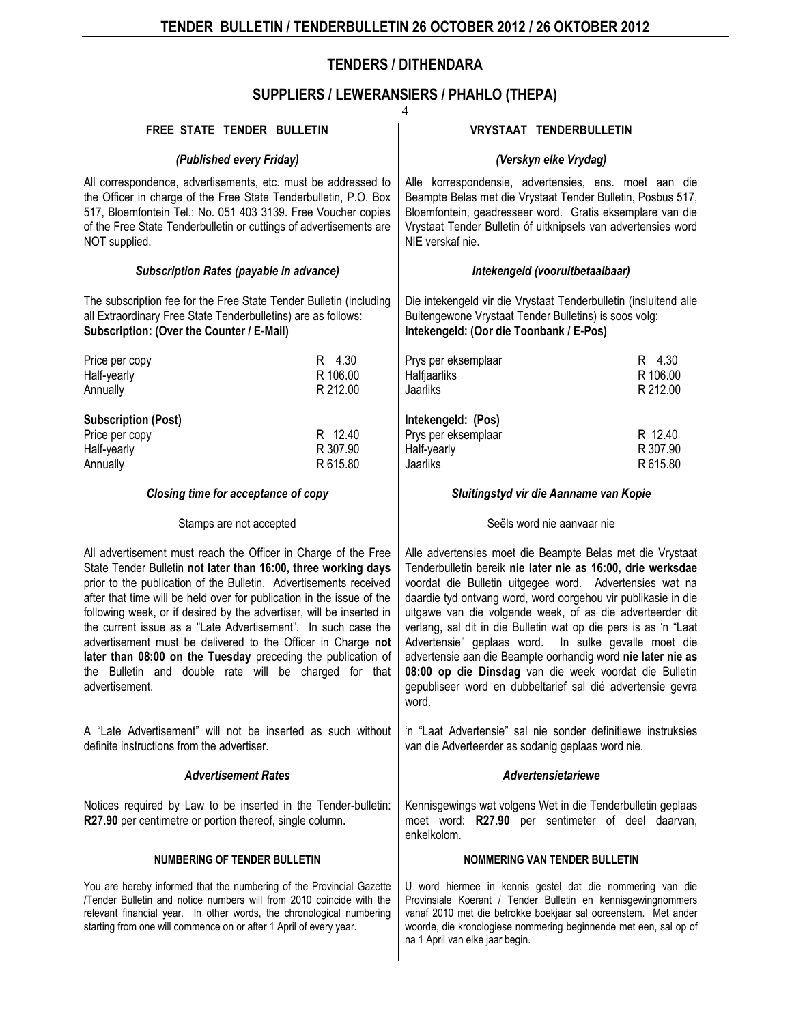## **SUPPLIERS / LEWERANSIERS / PHAHLO (THEPA)**

| 4                                                                                                                                                                                                                                                                                                                                                                                                                                                                                                                                                                                                                                  |                                     |                                                                                                                                                                                                                                                                                                                                                                                                                                                                                                                                                                                                                                              |                                        |  |  |
|------------------------------------------------------------------------------------------------------------------------------------------------------------------------------------------------------------------------------------------------------------------------------------------------------------------------------------------------------------------------------------------------------------------------------------------------------------------------------------------------------------------------------------------------------------------------------------------------------------------------------------|-------------------------------------|----------------------------------------------------------------------------------------------------------------------------------------------------------------------------------------------------------------------------------------------------------------------------------------------------------------------------------------------------------------------------------------------------------------------------------------------------------------------------------------------------------------------------------------------------------------------------------------------------------------------------------------------|----------------------------------------|--|--|
| FREE STATE TENDER BULLETIN                                                                                                                                                                                                                                                                                                                                                                                                                                                                                                                                                                                                         |                                     | <b>VRYSTAAT TENDERBULLETIN</b>                                                                                                                                                                                                                                                                                                                                                                                                                                                                                                                                                                                                               |                                        |  |  |
| (Published every Friday)                                                                                                                                                                                                                                                                                                                                                                                                                                                                                                                                                                                                           |                                     | (Verskyn elke Vrydag)                                                                                                                                                                                                                                                                                                                                                                                                                                                                                                                                                                                                                        |                                        |  |  |
| All correspondence, advertisements, etc. must be addressed to<br>the Officer in charge of the Free State Tenderbulletin, P.O. Box<br>517, Bloemfontein Tel.: No. 051 403 3139. Free Voucher copies<br>of the Free State Tenderbulletin or cuttings of advertisements are<br>NOT supplied.                                                                                                                                                                                                                                                                                                                                          |                                     | Alle korrespondensie, advertensies, ens. moet aan die<br>Beampte Belas met die Vrystaat Tender Bulletin, Posbus 517,<br>Bloemfontein, geadresseer word. Gratis eksemplare van die<br>Vrystaat Tender Bulletin óf uitknipsels van advertensies word<br>NIE verskaf nie.                                                                                                                                                                                                                                                                                                                                                                       |                                        |  |  |
| <b>Subscription Rates (payable in advance)</b>                                                                                                                                                                                                                                                                                                                                                                                                                                                                                                                                                                                     |                                     | Intekengeld (vooruitbetaalbaar)                                                                                                                                                                                                                                                                                                                                                                                                                                                                                                                                                                                                              |                                        |  |  |
| The subscription fee for the Free State Tender Bulletin (including<br>all Extraordinary Free State Tenderbulletins) are as follows:<br>Subscription: (Over the Counter / E-Mail)                                                                                                                                                                                                                                                                                                                                                                                                                                                   |                                     | Die intekengeld vir die Vrystaat Tenderbulletin (insluitend alle<br>Buitengewone Vrystaat Tender Bulletins) is soos volg:<br>Intekengeld: (Oor die Toonbank / E-Pos)                                                                                                                                                                                                                                                                                                                                                                                                                                                                         |                                        |  |  |
| Price per copy                                                                                                                                                                                                                                                                                                                                                                                                                                                                                                                                                                                                                     | R 4.30                              | Prys per eksemplaar                                                                                                                                                                                                                                                                                                                                                                                                                                                                                                                                                                                                                          | R 4.30                                 |  |  |
| Half-yearly                                                                                                                                                                                                                                                                                                                                                                                                                                                                                                                                                                                                                        | R 106.00                            | Halfjaarliks                                                                                                                                                                                                                                                                                                                                                                                                                                                                                                                                                                                                                                 | R 106.00                               |  |  |
| Annually                                                                                                                                                                                                                                                                                                                                                                                                                                                                                                                                                                                                                           | R 212.00                            | Jaarliks                                                                                                                                                                                                                                                                                                                                                                                                                                                                                                                                                                                                                                     | R 212.00                               |  |  |
| <b>Subscription (Post)</b>                                                                                                                                                                                                                                                                                                                                                                                                                                                                                                                                                                                                         |                                     | Intekengeld: (Pos)                                                                                                                                                                                                                                                                                                                                                                                                                                                                                                                                                                                                                           |                                        |  |  |
| Price per copy                                                                                                                                                                                                                                                                                                                                                                                                                                                                                                                                                                                                                     | R 12.40                             | Prys per eksemplaar                                                                                                                                                                                                                                                                                                                                                                                                                                                                                                                                                                                                                          | R 12.40                                |  |  |
| Half-yearly                                                                                                                                                                                                                                                                                                                                                                                                                                                                                                                                                                                                                        | R 307.90                            | Half-yearly                                                                                                                                                                                                                                                                                                                                                                                                                                                                                                                                                                                                                                  | R 307.90                               |  |  |
| Annually                                                                                                                                                                                                                                                                                                                                                                                                                                                                                                                                                                                                                           | R 615.80                            | Jaarliks                                                                                                                                                                                                                                                                                                                                                                                                                                                                                                                                                                                                                                     | R 615.80                               |  |  |
|                                                                                                                                                                                                                                                                                                                                                                                                                                                                                                                                                                                                                                    | Closing time for acceptance of copy |                                                                                                                                                                                                                                                                                                                                                                                                                                                                                                                                                                                                                                              | Sluitingstyd vir die Aanname van Kopie |  |  |
| Stamps are not accepted                                                                                                                                                                                                                                                                                                                                                                                                                                                                                                                                                                                                            |                                     | Seëls word nie aanvaar nie                                                                                                                                                                                                                                                                                                                                                                                                                                                                                                                                                                                                                   |                                        |  |  |
| All advertisement must reach the Officer in Charge of the Free<br>State Tender Bulletin not later than 16:00, three working days<br>prior to the publication of the Bulletin. Advertisements received<br>after that time will be held over for publication in the issue of the<br>following week, or if desired by the advertiser, will be inserted in<br>the current issue as a "Late Advertisement". In such case the<br>advertisement must be delivered to the Officer in Charge not<br>later than 08:00 on the Tuesday preceding the publication of<br>the Bulletin and double rate will be charged for that<br>advertisement. |                                     | Alle advertensies moet die Beampte Belas met die Vrystaat<br>Tenderbulletin bereik nie later nie as 16:00, drie werksdae<br>voordat die Bulletin uitgegee word. Advertensies wat na<br>daardie tyd ontvang word, word oorgehou vir publikasie in die<br>uitgawe van die volgende week, of as die adverteerder dit<br>verlang, sal dit in die Bulletin wat op die pers is as 'n "Laat<br>Advertensie" geplaas word. In sulke gevalle moet die<br>advertensie aan die Beampte oorhandig word nie later nie as<br>08:00 op die Dinsdag van die week voordat die Bulletin<br>gepubliseer word en dubbeltarief sal dié advertensie gevra<br>word. |                                        |  |  |
| A "Late Advertisement" will not be inserted as such without<br>definite instructions from the advertiser.                                                                                                                                                                                                                                                                                                                                                                                                                                                                                                                          |                                     | 'n "Laat Advertensie" sal nie sonder definitiewe instruksies<br>van die Adverteerder as sodanig geplaas word nie.                                                                                                                                                                                                                                                                                                                                                                                                                                                                                                                            |                                        |  |  |
| <b>Advertisement Rates</b>                                                                                                                                                                                                                                                                                                                                                                                                                                                                                                                                                                                                         |                                     | Advertensietariewe                                                                                                                                                                                                                                                                                                                                                                                                                                                                                                                                                                                                                           |                                        |  |  |
| Notices required by Law to be inserted in the Tender-bulletin:<br>R27.90 per centimetre or portion thereof, single column.                                                                                                                                                                                                                                                                                                                                                                                                                                                                                                         |                                     | Kennisgewings wat volgens Wet in die Tenderbulletin geplaas<br>moet word: R27.90 per sentimeter of deel daarvan,<br>enkelkolom.                                                                                                                                                                                                                                                                                                                                                                                                                                                                                                              |                                        |  |  |
| <b>NUMBERING OF TENDER BULLETIN</b>                                                                                                                                                                                                                                                                                                                                                                                                                                                                                                                                                                                                |                                     | NOMMERING VAN TENDER BULLETIN                                                                                                                                                                                                                                                                                                                                                                                                                                                                                                                                                                                                                |                                        |  |  |
| You are hereby informed that the numbering of the Provincial Gazette<br>/Tender Bulletin and notice numbers will from 2010 coincide with the<br>relevant financial year. In other words, the chronological numbering<br>starting from one will commence on or after 1 April of every year.                                                                                                                                                                                                                                                                                                                                         |                                     | U word hiermee in kennis gestel dat die nommering van die<br>Provinsiale Koerant / Tender Bulletin en kennisgewingnommers<br>vanaf 2010 met die betrokke boekjaar sal ooreenstem. Met ander<br>woorde, die kronologiese nommering beginnende met een, sal op of<br>na 1 April van elke jaar begin.                                                                                                                                                                                                                                                                                                                                           |                                        |  |  |